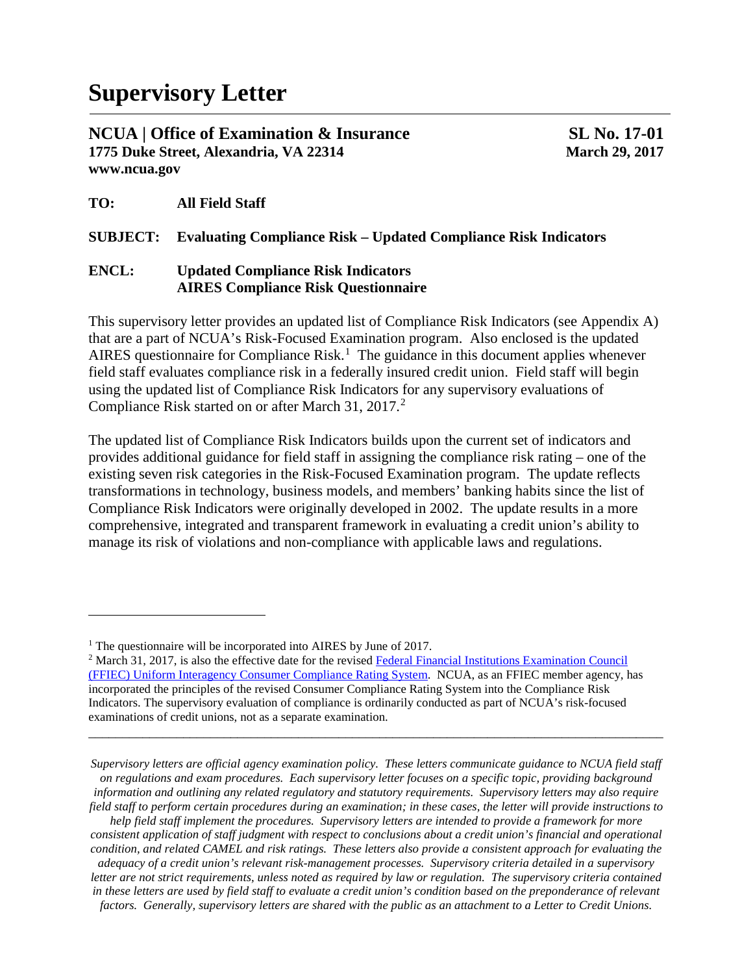**NCUA | Office of Examination & Insurance SL No. 17-01 1775 Duke Street, Alexandria, VA 22314 March 29, 2017 www.ncua.gov**

**TO: All Field Staff**

 $\overline{\phantom{a}}$ 

## **SUBJECT: Evaluating Compliance Risk – Updated Compliance Risk Indicators**

### **ENCL: Updated Compliance Risk Indicators AIRES Compliance Risk Questionnaire**

This supervisory letter provides an updated list of Compliance Risk Indicators (see Appendix A) that are a part of NCUA's Risk-Focused Examination program. Also enclosed is the updated AIRES questionnaire for Compliance Risk.<sup>[1](#page-0-0)</sup> The guidance in this document applies whenever field staff evaluates compliance risk in a federally insured credit union. Field staff will begin using the updated list of Compliance Risk Indicators for any supervisory evaluations of Compliance Risk started on or after March 31, [2](#page-0-1)017.<sup>2</sup>

The updated list of Compliance Risk Indicators builds upon the current set of indicators and provides additional guidance for field staff in assigning the compliance risk rating – one of the existing seven risk categories in the Risk-Focused Examination program. The update reflects transformations in technology, business models, and members' banking habits since the list of Compliance Risk Indicators were originally developed in 2002. The update results in a more comprehensive, integrated and transparent framework in evaluating a credit union's ability to manage its risk of violations and non-compliance with applicable laws and regulations.

*\_\_\_\_\_\_\_\_\_\_\_\_\_\_\_\_\_\_\_\_\_\_\_\_\_\_\_\_\_\_\_\_\_\_\_\_\_\_\_\_\_\_\_\_\_\_\_\_\_\_\_\_\_\_\_\_\_\_\_\_\_\_\_\_\_\_\_\_\_\_\_\_\_\_\_\_\_\_\_\_\_\_\_\_\_*

*help field staff implement the procedures. Supervisory letters are intended to provide a framework for more consistent application of staff judgment with respect to conclusions about a credit union's financial and operational condition, and related CAMEL and risk ratings. These letters also provide a consistent approach for evaluating the adequacy of a credit union's relevant risk-management processes. Supervisory criteria detailed in a supervisory*  letter are not strict requirements, unless noted as required by law or regulation. The supervisory criteria contained *in these letters are used by field staff to evaluate a credit union's condition based on the preponderance of relevant factors. Generally, supervisory letters are shared with the public as an attachment to a Letter to Credit Unions.*

<span id="page-0-0"></span><sup>&</sup>lt;sup>1</sup> The questionnaire will be incorporated into AIRES by June of 2017.

<span id="page-0-1"></span><sup>&</sup>lt;sup>2</sup> March 31, 2017, is also the effective date for the revised Federal Financial Institutions Examination Council [\(FFIEC\) Uniform Interagency Consumer Compliance Rating System.](https://www.ffiec.gov/press/PDF/FFIEC_CCR_SystemFR_Notice.pdf) NCUA, as an FFIEC member agency, has incorporated the principles of the revised Consumer Compliance Rating System into the Compliance Risk Indicators. The supervisory evaluation of compliance is ordinarily conducted as part of NCUA's risk-focused examinations of credit unions, not as a separate examination.

*Supervisory letters are official agency examination policy. These letters communicate guidance to NCUA field staff on regulations and exam procedures. Each supervisory letter focuses on a specific topic, providing background information and outlining any related regulatory and statutory requirements. Supervisory letters may also require field staff to perform certain procedures during an examination; in these cases, the letter will provide instructions to*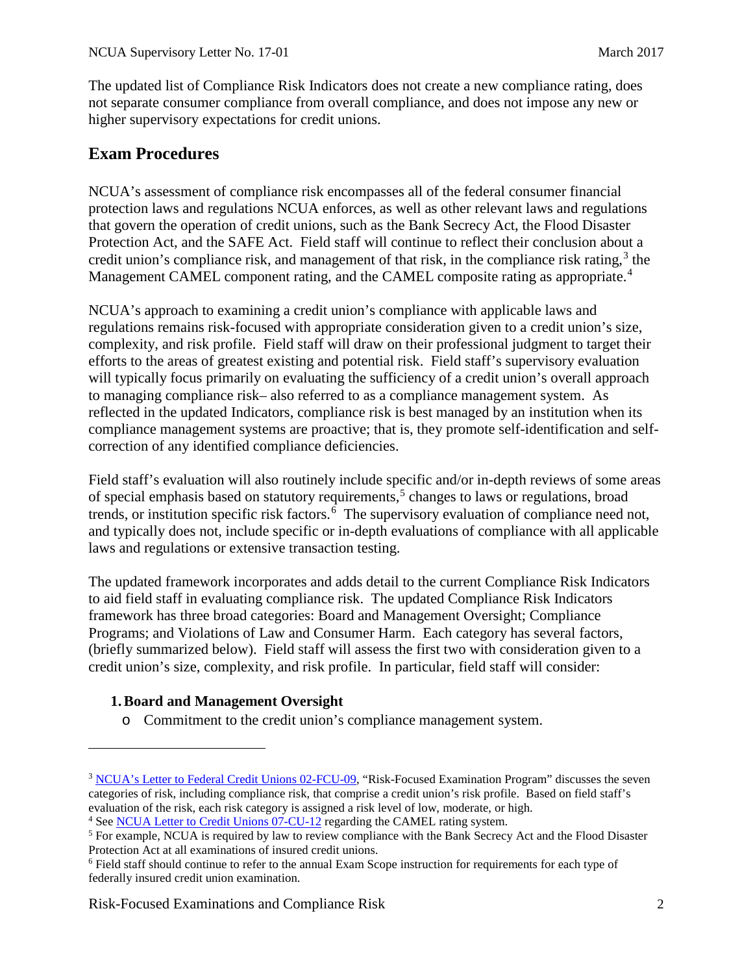The updated list of Compliance Risk Indicators does not create a new compliance rating, does not separate consumer compliance from overall compliance, and does not impose any new or higher supervisory expectations for credit unions.

## **Exam Procedures**

NCUA's assessment of compliance risk encompasses all of the federal consumer financial protection laws and regulations NCUA enforces, as well as other relevant laws and regulations that govern the operation of credit unions, such as the Bank Secrecy Act, the Flood Disaster Protection Act, and the SAFE Act. Field staff will continue to reflect their conclusion about a credit union's compliance risk, and management of that risk, in the compliance risk rating, [3](#page-1-0) the Management CAMEL component rating, and the CAMEL composite rating as appropriate.<sup>[4](#page-1-1)</sup>

NCUA's approach to examining a credit union's compliance with applicable laws and regulations remains risk-focused with appropriate consideration given to a credit union's size, complexity, and risk profile. Field staff will draw on their professional judgment to target their efforts to the areas of greatest existing and potential risk. Field staff's supervisory evaluation will typically focus primarily on evaluating the sufficiency of a credit union's overall approach to managing compliance risk– also referred to as a compliance management system. As reflected in the updated Indicators, compliance risk is best managed by an institution when its compliance management systems are proactive; that is, they promote self-identification and selfcorrection of any identified compliance deficiencies.

Field staff's evaluation will also routinely include specific and/or in-depth reviews of some areas of special emphasis based on statutory requirements,<sup>[5](#page-1-2)</sup> changes to laws or regulations, broad trends, or institution specific risk factors.<sup>[6](#page-1-3)</sup> The supervisory evaluation of compliance need not, and typically does not, include specific or in-depth evaluations of compliance with all applicable laws and regulations or extensive transaction testing.

The updated framework incorporates and adds detail to the current Compliance Risk Indicators to aid field staff in evaluating compliance risk. The updated Compliance Risk Indicators framework has three broad categories: Board and Management Oversight; Compliance Programs; and Violations of Law and Consumer Harm. Each category has several factors, (briefly summarized below). Field staff will assess the first two with consideration given to a credit union's size, complexity, and risk profile. In particular, field staff will consider:

## **1.Board and Management Oversight**

l

o Commitment to the credit union's compliance management system.

Risk-Focused Examinations and Compliance Risk 2

<span id="page-1-0"></span><sup>3</sup> [NCUA's Letter to Federal Credit Unions 02-FCU-09,](https://www.ncua.gov/Resources/Documents/LFCU2002-09.pdf) "Risk-Focused Examination Program" discusses the seven categories of risk, including compliance risk, that comprise a credit union's risk profile. Based on field staff's evaluation of the risk, each risk category is assigned a risk level of low, moderate, or high.

<span id="page-1-1"></span><sup>4</sup> Se[e NCUA Letter to Credit Unions 07-CU-12](https://www.ncua.gov/Resources/Documents/LCU2007-12.pdf) regarding the CAMEL rating system.

<span id="page-1-2"></span><sup>5</sup> For example, NCUA is required by law to review compliance with the Bank Secrecy Act and the Flood Disaster Protection Act at all examinations of insured credit unions.

<span id="page-1-3"></span><sup>6</sup> Field staff should continue to refer to the annual Exam Scope instruction for requirements for each type of federally insured credit union examination.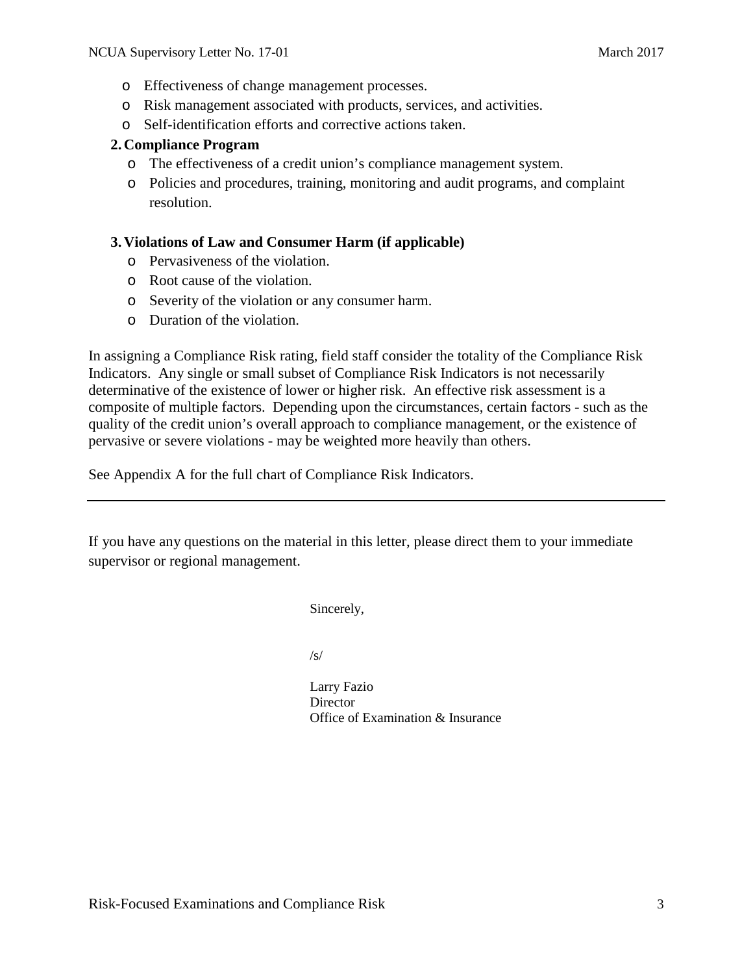- o Effectiveness of change management processes.
- o Risk management associated with products, services, and activities.
- o Self-identification efforts and corrective actions taken.

#### **2. Compliance Program**

- o The effectiveness of a credit union's compliance management system.
- o Policies and procedures, training, monitoring and audit programs, and complaint resolution.

#### **3. Violations of Law and Consumer Harm (if applicable)**

- o Pervasiveness of the violation.
- o Root cause of the violation.
- o Severity of the violation or any consumer harm.
- o Duration of the violation.

In assigning a Compliance Risk rating, field staff consider the totality of the Compliance Risk Indicators. Any single or small subset of Compliance Risk Indicators is not necessarily determinative of the existence of lower or higher risk. An effective risk assessment is a composite of multiple factors. Depending upon the circumstances, certain factors - such as the quality of the credit union's overall approach to compliance management, or the existence of pervasive or severe violations - may be weighted more heavily than others.

See Appendix A for the full chart of Compliance Risk Indicators.

If you have any questions on the material in this letter, please direct them to your immediate supervisor or regional management.

Sincerely,

/s/

Larry Fazio **Director** Office of Examination & Insurance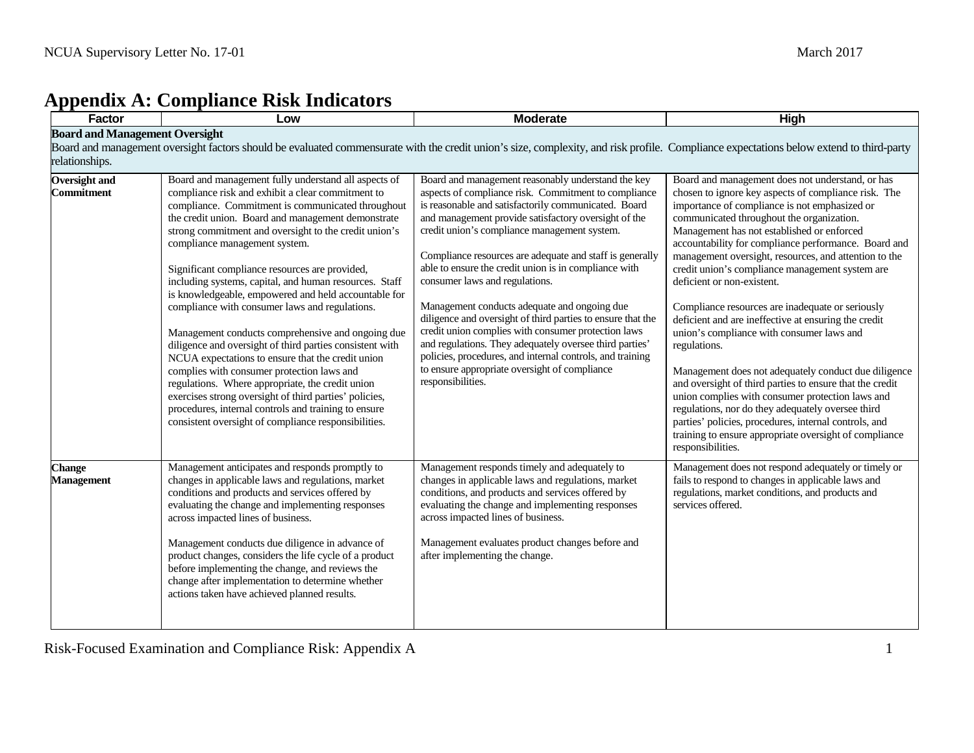# **Appendix A: Compliance Risk Indicators**

| Factor                                                                                                                                                                                                                                             | Low                                                                                                                                                                                                                                                                                                                                                                                                                                                                                                                                                                                                                                                                                                                                                                                                                                                                                                                                                                                    | <b>Moderate</b>                                                                                                                                                                                                                                                                                                                                                                                                                                                                                                                                                                                                                                                                                                                                                                                       | <b>High</b>                                                                                                                                                                                                                                                                                                                                                                                                                                                                                                                                                                                                                                                                                                                                                                                                                                                                                                                                                                                          |  |  |  |
|----------------------------------------------------------------------------------------------------------------------------------------------------------------------------------------------------------------------------------------------------|----------------------------------------------------------------------------------------------------------------------------------------------------------------------------------------------------------------------------------------------------------------------------------------------------------------------------------------------------------------------------------------------------------------------------------------------------------------------------------------------------------------------------------------------------------------------------------------------------------------------------------------------------------------------------------------------------------------------------------------------------------------------------------------------------------------------------------------------------------------------------------------------------------------------------------------------------------------------------------------|-------------------------------------------------------------------------------------------------------------------------------------------------------------------------------------------------------------------------------------------------------------------------------------------------------------------------------------------------------------------------------------------------------------------------------------------------------------------------------------------------------------------------------------------------------------------------------------------------------------------------------------------------------------------------------------------------------------------------------------------------------------------------------------------------------|------------------------------------------------------------------------------------------------------------------------------------------------------------------------------------------------------------------------------------------------------------------------------------------------------------------------------------------------------------------------------------------------------------------------------------------------------------------------------------------------------------------------------------------------------------------------------------------------------------------------------------------------------------------------------------------------------------------------------------------------------------------------------------------------------------------------------------------------------------------------------------------------------------------------------------------------------------------------------------------------------|--|--|--|
| <b>Board and Management Oversight</b><br>Board and management oversight factors should be evaluated commensurate with the credit union's size, complexity, and risk profile. Compliance expectations below extend to third-party<br>relationships. |                                                                                                                                                                                                                                                                                                                                                                                                                                                                                                                                                                                                                                                                                                                                                                                                                                                                                                                                                                                        |                                                                                                                                                                                                                                                                                                                                                                                                                                                                                                                                                                                                                                                                                                                                                                                                       |                                                                                                                                                                                                                                                                                                                                                                                                                                                                                                                                                                                                                                                                                                                                                                                                                                                                                                                                                                                                      |  |  |  |
| <b>Oversight and</b><br>Commitment                                                                                                                                                                                                                 | Board and management fully understand all aspects of<br>compliance risk and exhibit a clear commitment to<br>compliance. Commitment is communicated throughout<br>the credit union. Board and management demonstrate<br>strong commitment and oversight to the credit union's<br>compliance management system.<br>Significant compliance resources are provided,<br>including systems, capital, and human resources. Staff<br>is knowledgeable, empowered and held accountable for<br>compliance with consumer laws and regulations.<br>Management conducts comprehensive and ongoing due<br>diligence and oversight of third parties consistent with<br>NCUA expectations to ensure that the credit union<br>complies with consumer protection laws and<br>regulations. Where appropriate, the credit union<br>exercises strong oversight of third parties' policies,<br>procedures, internal controls and training to ensure<br>consistent oversight of compliance responsibilities. | Board and management reasonably understand the key<br>aspects of compliance risk. Commitment to compliance<br>is reasonable and satisfactorily communicated. Board<br>and management provide satisfactory oversight of the<br>credit union's compliance management system.<br>Compliance resources are adequate and staff is generally<br>able to ensure the credit union is in compliance with<br>consumer laws and regulations.<br>Management conducts adequate and ongoing due<br>diligence and oversight of third parties to ensure that the<br>credit union complies with consumer protection laws<br>and regulations. They adequately oversee third parties'<br>policies, procedures, and internal controls, and training<br>to ensure appropriate oversight of compliance<br>responsibilities. | Board and management does not understand, or has<br>chosen to ignore key aspects of compliance risk. The<br>importance of compliance is not emphasized or<br>communicated throughout the organization.<br>Management has not established or enforced<br>accountability for compliance performance. Board and<br>management oversight, resources, and attention to the<br>credit union's compliance management system are<br>deficient or non-existent.<br>Compliance resources are inadequate or seriously<br>deficient and are ineffective at ensuring the credit<br>union's compliance with consumer laws and<br>regulations.<br>Management does not adequately conduct due diligence<br>and oversight of third parties to ensure that the credit<br>union complies with consumer protection laws and<br>regulations, nor do they adequately oversee third<br>parties' policies, procedures, internal controls, and<br>training to ensure appropriate oversight of compliance<br>responsibilities. |  |  |  |
| <b>Change</b><br><b>Management</b>                                                                                                                                                                                                                 | Management anticipates and responds promptly to<br>changes in applicable laws and regulations, market<br>conditions and products and services offered by<br>evaluating the change and implementing responses<br>across impacted lines of business.<br>Management conducts due diligence in advance of<br>product changes, considers the life cycle of a product<br>before implementing the change, and reviews the<br>change after implementation to determine whether<br>actions taken have achieved planned results.                                                                                                                                                                                                                                                                                                                                                                                                                                                                 | Management responds timely and adequately to<br>changes in applicable laws and regulations, market<br>conditions, and products and services offered by<br>evaluating the change and implementing responses<br>across impacted lines of business.<br>Management evaluates product changes before and<br>after implementing the change.                                                                                                                                                                                                                                                                                                                                                                                                                                                                 | Management does not respond adequately or timely or<br>fails to respond to changes in applicable laws and<br>regulations, market conditions, and products and<br>services offered.                                                                                                                                                                                                                                                                                                                                                                                                                                                                                                                                                                                                                                                                                                                                                                                                                   |  |  |  |

Risk-Focused Examination and Compliance Risk: Appendix A 1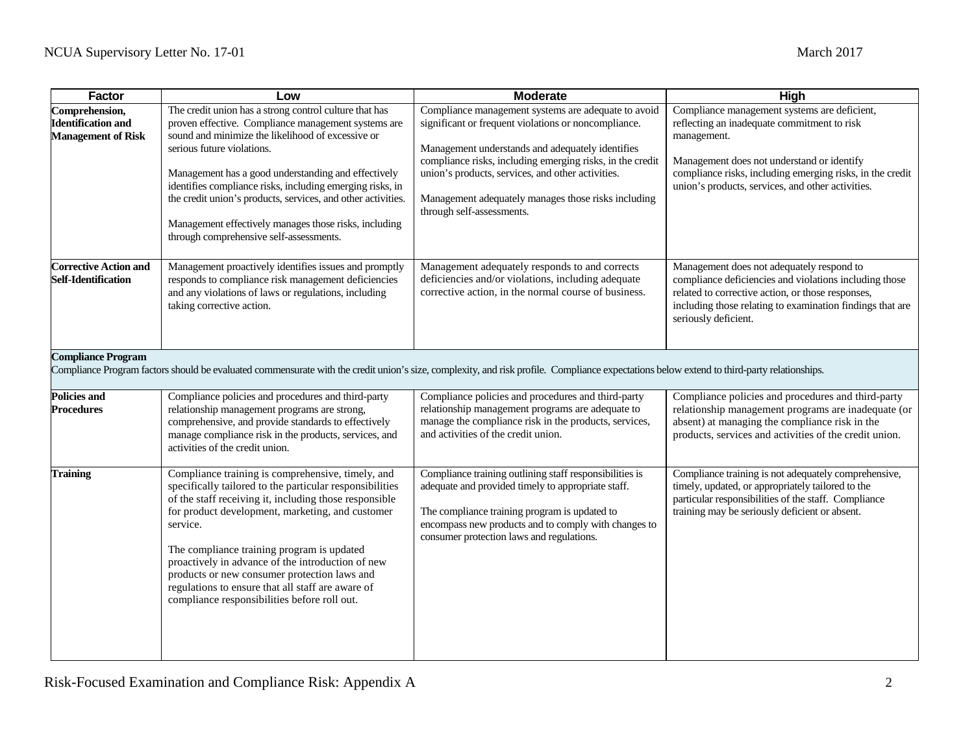| Factor                                                                                                                                                                                                                  | Low                                                                                                                                                                                                                                                                                                                                                                                                                                                                                             | <b>Moderate</b>                                                                                                                                                                                                                                                                                                                                                       | High                                                                                                                                                                                                                                                                       |  |  |
|-------------------------------------------------------------------------------------------------------------------------------------------------------------------------------------------------------------------------|-------------------------------------------------------------------------------------------------------------------------------------------------------------------------------------------------------------------------------------------------------------------------------------------------------------------------------------------------------------------------------------------------------------------------------------------------------------------------------------------------|-----------------------------------------------------------------------------------------------------------------------------------------------------------------------------------------------------------------------------------------------------------------------------------------------------------------------------------------------------------------------|----------------------------------------------------------------------------------------------------------------------------------------------------------------------------------------------------------------------------------------------------------------------------|--|--|
| Comprehension,<br><b>Identification and</b><br><b>Management of Risk</b>                                                                                                                                                | The credit union has a strong control culture that has<br>proven effective. Compliance management systems are<br>sound and minimize the likelihood of excessive or<br>serious future violations.<br>Management has a good understanding and effectively<br>identifies compliance risks, including emerging risks, in<br>the credit union's products, services, and other activities.<br>Management effectively manages those risks, including<br>through comprehensive self-assessments.        | Compliance management systems are adequate to avoid<br>significant or frequent violations or noncompliance.<br>Management understands and adequately identifies<br>compliance risks, including emerging risks, in the credit<br>union's products, services, and other activities.<br>Management adequately manages those risks including<br>through self-assessments. | Compliance management systems are deficient,<br>reflecting an inadequate commitment to risk<br>management.<br>Management does not understand or identify<br>compliance risks, including emerging risks, in the credit<br>union's products, services, and other activities. |  |  |
| <b>Corrective Action and</b><br><b>Self-Identification</b>                                                                                                                                                              | Management proactively identifies issues and promptly<br>responds to compliance risk management deficiencies<br>and any violations of laws or regulations, including<br>taking corrective action.                                                                                                                                                                                                                                                                                               | Management adequately responds to and corrects<br>deficiencies and/or violations, including adequate<br>corrective action, in the normal course of business.                                                                                                                                                                                                          | Management does not adequately respond to<br>compliance deficiencies and violations including those<br>related to corrective action, or those responses,<br>including those relating to examination findings that are<br>seriously deficient.                              |  |  |
| <b>Compliance Program</b><br>Compliance Program factors should be evaluated commensurate with the credit union's size, complexity, and risk profile. Compliance expectations below extend to third-party relationships. |                                                                                                                                                                                                                                                                                                                                                                                                                                                                                                 |                                                                                                                                                                                                                                                                                                                                                                       |                                                                                                                                                                                                                                                                            |  |  |
| <b>Policies and</b><br><b>Procedures</b>                                                                                                                                                                                | Compliance policies and procedures and third-party<br>relationship management programs are strong,<br>comprehensive, and provide standards to effectively<br>manage compliance risk in the products, services, and<br>activities of the credit union.                                                                                                                                                                                                                                           | Compliance policies and procedures and third-party<br>relationship management programs are adequate to<br>manage the compliance risk in the products, services,<br>and activities of the credit union.                                                                                                                                                                | Compliance policies and procedures and third-party<br>relationship management programs are inadequate (or<br>absent) at managing the compliance risk in the<br>products, services and activities of the credit union.                                                      |  |  |
| <b>Training</b>                                                                                                                                                                                                         | Compliance training is comprehensive, timely, and<br>specifically tailored to the particular responsibilities<br>of the staff receiving it, including those responsible<br>for product development, marketing, and customer<br>service.<br>The compliance training program is updated<br>proactively in advance of the introduction of new<br>products or new consumer protection laws and<br>regulations to ensure that all staff are aware of<br>compliance responsibilities before roll out. | Compliance training outlining staff responsibilities is<br>adequate and provided timely to appropriate staff.<br>The compliance training program is updated to<br>encompass new products and to comply with changes to<br>consumer protection laws and regulations.                                                                                                   | Compliance training is not adequately comprehensive,<br>timely, updated, or appropriately tailored to the<br>particular responsibilities of the staff. Compliance<br>training may be seriously deficient or absent.                                                        |  |  |